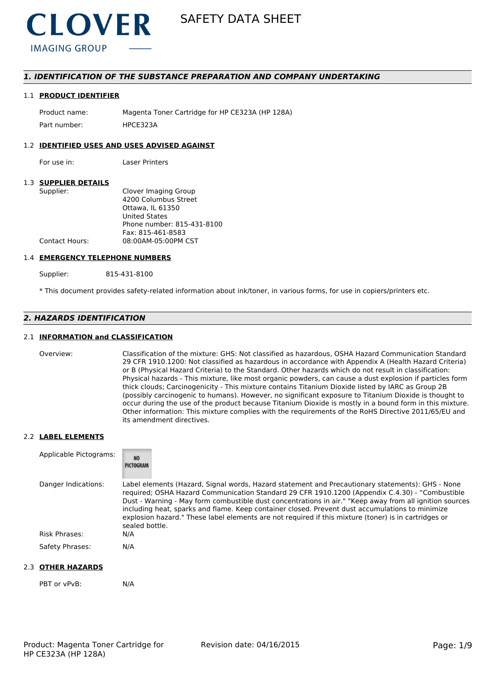

## *1. IDENTIFICATION OF THE SUBSTANCE PREPARATION AND COMPANY UNDERTAKING*

#### 1.1 **PRODUCT IDENTIFIER**

Product name: Magenta Toner Cartridge for HP CE323A (HP 128A) Part number: HPCE3234

#### 1.2 **IDENTIFIED USES AND USES ADVISED AGAINST**

For use in: Laser Printers

#### 1.3 **SUPPLIER DETAILS**

| Supplier:      | Clover Imaging Group       |
|----------------|----------------------------|
|                | 4200 Columbus Street       |
|                | Ottawa. IL 61350           |
|                | <b>United States</b>       |
|                | Phone number: 815-431-8100 |
|                | Fax: 815-461-8583          |
| Contact Hours: | 08:00AM-05:00PM CST        |
|                |                            |

#### 1.4 **EMERGENCY TELEPHONE NUMBERS**

Supplier: 815-431-8100

\* This document provides safety-related information about ink/toner, in various forms, for use in copiers/printers etc.

# *2. HAZARDS IDENTIFICATION*

#### 2.1 **INFORMATION and CLASSIFICATION**

Overview: Classification of the mixture: GHS: Not classified as hazardous, OSHA Hazard Communication Standard 29 CFR 1910.1200: Not classified as hazardous in accordance with Appendix A (Health Hazard Criteria) or B (Physical Hazard Criteria) to the Standard. Other hazards which do not result in classification: Physical hazards - This mixture, like most organic powders, can cause a dust explosion if particles form thick clouds; Carcinogenicity - This mixture contains Titanium Dioxide listed by IARC as Group 2B (possibly carcinogenic to humans). However, no significant exposure to Titanium Dioxide is thought to occur during the use of the product because Titanium Dioxide is mostly in a bound form in this mixture. Other information: This mixture complies with the requirements of the RoHS Directive 2011/65/EU and its amendment directives.

#### 2.2 **LABEL ELEMENTS**

| Applicable Pictograms: | <b>NO</b><br>PICTOGRAM                                                                                                                                                                                                                                                                                                                                                                                                                                                                                                                     |
|------------------------|--------------------------------------------------------------------------------------------------------------------------------------------------------------------------------------------------------------------------------------------------------------------------------------------------------------------------------------------------------------------------------------------------------------------------------------------------------------------------------------------------------------------------------------------|
| Danger Indications:    | Label elements (Hazard, Signal words, Hazard statement and Precautionary statements): GHS - None<br>required; OSHA Hazard Communication Standard 29 CFR 1910.1200 (Appendix C.4.30) - "Combustible<br>Dust - Warning - May form combustible dust concentrations in air." "Keep away from all ignition sources<br>including heat, sparks and flame. Keep container closed. Prevent dust accumulations to minimize<br>explosion hazard." These label elements are not required if this mixture (toner) is in cartridges or<br>sealed bottle. |
| Risk Phrases:          | N/A                                                                                                                                                                                                                                                                                                                                                                                                                                                                                                                                        |
| Safety Phrases:        | N/A                                                                                                                                                                                                                                                                                                                                                                                                                                                                                                                                        |

### 2.3 **OTHER HAZARDS**

PBT or vPvB: N/A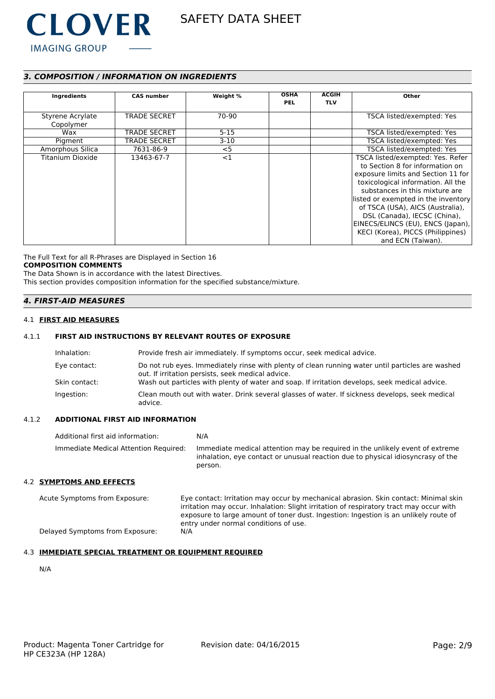

# *3. COMPOSITION / INFORMATION ON INGREDIENTS*

| Ingredients                   | <b>CAS number</b>   | Weight % | <b>OSHA</b><br><b>PEL</b> | <b>ACGIH</b><br><b>TLV</b> | Other                                                                                                                                                                                                                                                                                                                                                                                       |
|-------------------------------|---------------------|----------|---------------------------|----------------------------|---------------------------------------------------------------------------------------------------------------------------------------------------------------------------------------------------------------------------------------------------------------------------------------------------------------------------------------------------------------------------------------------|
| Styrene Acrylate<br>Copolymer | <b>TRADE SECRET</b> | 70-90    |                           |                            | TSCA listed/exempted: Yes                                                                                                                                                                                                                                                                                                                                                                   |
| Wax                           | <b>TRADE SECRET</b> | $5 - 15$ |                           |                            | TSCA listed/exempted: Yes                                                                                                                                                                                                                                                                                                                                                                   |
| Pigment                       | <b>TRADE SECRET</b> | $3-10$   |                           |                            | TSCA listed/exempted: Yes                                                                                                                                                                                                                                                                                                                                                                   |
| Amorphous Silica              | 7631-86-9           | $<$ 5    |                           |                            | TSCA listed/exempted: Yes                                                                                                                                                                                                                                                                                                                                                                   |
| Titanium Dioxide              | 13463-67-7          | <1       |                           |                            | TSCA listed/exempted: Yes. Refer<br>to Section 8 for information on<br>exposure limits and Section 11 for<br>toxicological information. All the<br>substances in this mixture are<br>listed or exempted in the inventory<br>of TSCA (USA), AICS (Australia),<br>DSL (Canada), IECSC (China),<br>EINECS/ELINCS (EU), ENCS (Japan),<br>KECI (Korea), PICCS (Philippines)<br>and ECN (Taiwan). |

The Full Text for all R-Phrases are Displayed in Section 16 **COMPOSITION COMMENTS**

The Data Shown is in accordance with the latest Directives.

This section provides composition information for the specified substance/mixture.

# *4. FIRST-AID MEASURES*

#### 4.1 **FIRST AID MEASURES**

### 4.1.1 **FIRST AID INSTRUCTIONS BY RELEVANT ROUTES OF EXPOSURE**

| Inhalation:   | Provide fresh air immediately. If symptoms occur, seek medical advice.                                                                                |
|---------------|-------------------------------------------------------------------------------------------------------------------------------------------------------|
| Eye contact:  | Do not rub eyes. Immediately rinse with plenty of clean running water until particles are washed<br>out. If irritation persists, seek medical advice. |
| Skin contact: | Wash out particles with plenty of water and soap. If irritation develops, seek medical advice.                                                        |
| Ingestion:    | Clean mouth out with water. Drink several glasses of water. If sickness develops, seek medical<br>advice.                                             |

#### 4.1.2 **ADDITIONAL FIRST AID INFORMATION**

Additional first aid information: N/A Immediate Medical Attention Required: Immediate medical attention may be required in the unlikely event of extreme inhalation, eye contact or unusual reaction due to physical idiosyncrasy of the person.

#### 4.2 **SYMPTOMS AND EFFECTS**

Acute Symptoms from Exposure: Eye contact: Irritation may occur by mechanical abrasion. Skin contact: Minimal skin irritation may occur. Inhalation: Slight irritation of respiratory tract may occur with exposure to large amount of toner dust. Ingestion: Ingestion is an unlikely route of entry under normal conditions of use. Delayed Symptoms from Exposure: N/A

#### 4.3 **IMMEDIATE SPECIAL TREATMENT OR EQUIPMENT REQUIRED**

N/A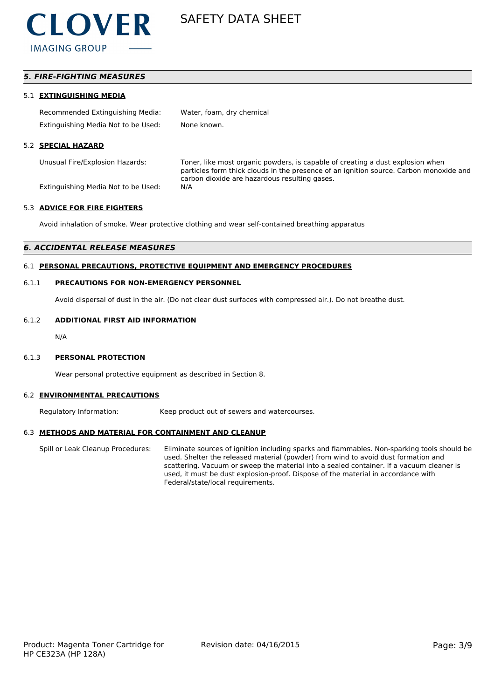

# *5. FIRE-FIGHTING MEASURES*

#### 5.1 **EXTINGUISHING MEDIA**

| Recommended Extinguishing Media:    | Water, foam, dry chemical |
|-------------------------------------|---------------------------|
| Extinguishing Media Not to be Used: | None known.               |

#### 5.2 **SPECIAL HAZARD**

Unusual Fire/Explosion Hazards: Toner, like most organic powders, is capable of creating a dust explosion when particles form thick clouds in the presence of an ignition source. Carbon monoxide and carbon dioxide are hazardous resulting gases.

Extinguishing Media Not to be Used: N/A

#### 5.3 **ADVICE FOR FIRE FIGHTERS**

Avoid inhalation of smoke. Wear protective clothing and wear self-contained breathing apparatus

#### *6. ACCIDENTAL RELEASE MEASURES*

#### 6.1 **PERSONAL PRECAUTIONS, PROTECTIVE EQUIPMENT AND EMERGENCY PROCEDURES**

#### 6.1.1 **PRECAUTIONS FOR NON-EMERGENCY PERSONNEL**

Avoid dispersal of dust in the air. (Do not clear dust surfaces with compressed air.). Do not breathe dust.

#### 6.1.2 **ADDITIONAL FIRST AID INFORMATION**

N/A

#### 6.1.3 **PERSONAL PROTECTION**

Wear personal protective equipment as described in Section 8.

#### 6.2 **ENVIRONMENTAL PRECAUTIONS**

Regulatory Information: Keep product out of sewers and watercourses.

#### 6.3 **METHODS AND MATERIAL FOR CONTAINMENT AND CLEANUP**

Spill or Leak Cleanup Procedures: Eliminate sources of ignition including sparks and flammables. Non-sparking tools should be used. Shelter the released material (powder) from wind to avoid dust formation and scattering. Vacuum or sweep the material into a sealed container. If a vacuum cleaner is used, it must be dust explosion-proof. Dispose of the material in accordance with Federal/state/local requirements.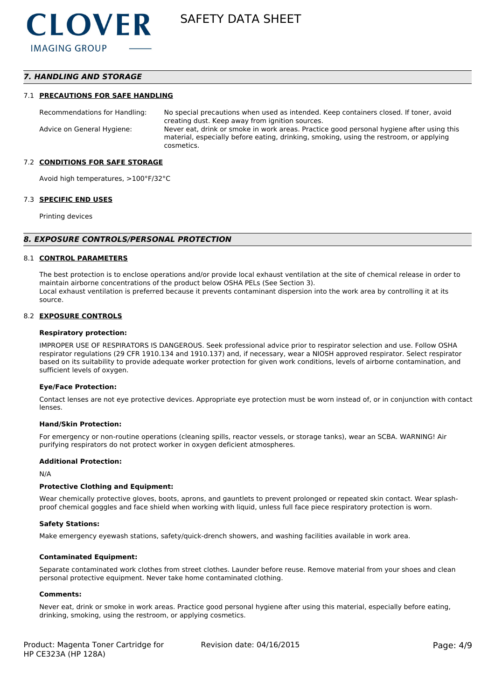# *7. HANDLING AND STORAGE*

#### 7.1 **PRECAUTIONS FOR SAFE HANDLING**

Recommendations for Handling: No special precautions when used as intended. Keep containers closed. If toner, avoid creating dust. Keep away from ignition sources. Advice on General Hygiene: Never eat, drink or smoke in work areas. Practice good personal hygiene after using this material, especially before eating, drinking, smoking, using the restroom, or applying cosmetics.

#### 7.2 **CONDITIONS FOR SAFE STORAGE**

Avoid high temperatures, >100°F/32°C

#### 7.3 **SPECIFIC END USES**

Printing devices

#### *8. EXPOSURE CONTROLS/PERSONAL PROTECTION*

#### 8.1 **CONTROL PARAMETERS**

The best protection is to enclose operations and/or provide local exhaust ventilation at the site of chemical release in order to maintain airborne concentrations of the product below OSHA PELs (See Section 3). Local exhaust ventilation is preferred because it prevents contaminant dispersion into the work area by controlling it at its source.

#### 8.2 **EXPOSURE CONTROLS**

#### **Respiratory protection:**

IMPROPER USE OF RESPIRATORS IS DANGEROUS. Seek professional advice prior to respirator selection and use. Follow OSHA respirator regulations (29 CFR 1910.134 and 1910.137) and, if necessary, wear a NIOSH approved respirator. Select respirator based on its suitability to provide adequate worker protection for given work conditions, levels of airborne contamination, and sufficient levels of oxygen.

#### **Eye/Face Protection:**

Contact lenses are not eye protective devices. Appropriate eye protection must be worn instead of, or in conjunction with contact lenses.

#### **Hand/Skin Protection:**

For emergency or non-routine operations (cleaning spills, reactor vessels, or storage tanks), wear an SCBA. WARNING! Air purifying respirators do not protect worker in oxygen deficient atmospheres.

#### **Additional Protection:**

N/A

#### **Protective Clothing and Equipment:**

Wear chemically protective gloves, boots, aprons, and gauntlets to prevent prolonged or repeated skin contact. Wear splashproof chemical goggles and face shield when working with liquid, unless full face piece respiratory protection is worn.

#### **Safety Stations:**

Make emergency eyewash stations, safety/quick-drench showers, and washing facilities available in work area.

#### **Contaminated Equipment:**

Separate contaminated work clothes from street clothes. Launder before reuse. Remove material from your shoes and clean personal protective equipment. Never take home contaminated clothing.

#### **Comments:**

Never eat, drink or smoke in work areas. Practice good personal hygiene after using this material, especially before eating, drinking, smoking, using the restroom, or applying cosmetics.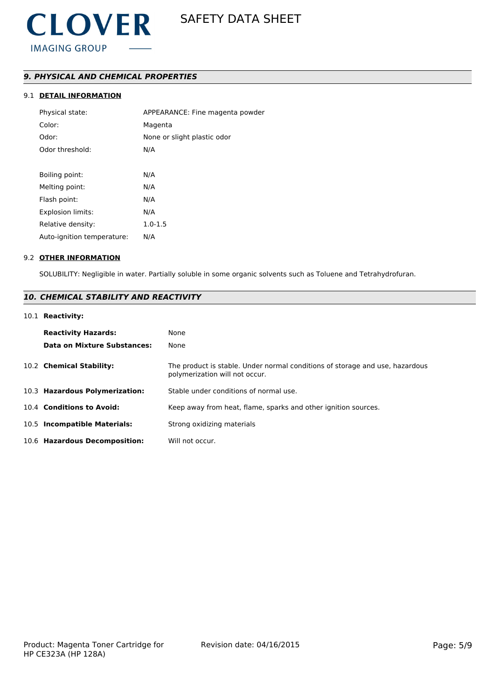# *9. PHYSICAL AND CHEMICAL PROPERTIES*

# 9.1 **DETAIL INFORMATION**

| Physical state:            | APPEARANCE: Fine magenta powder |
|----------------------------|---------------------------------|
| Color:                     | Magenta                         |
| Odor:                      | None or slight plastic odor     |
| Odor threshold:            | N/A                             |
|                            |                                 |
| Boiling point:             | N/A                             |
| Melting point:             | N/A                             |
| Flash point:               | N/A                             |
| Explosion limits:          | N/A                             |
| Relative density:          | $1.0 - 1.5$                     |
| Auto-ignition temperature: | N/A                             |
|                            |                                 |

#### 9.2 **OTHER INFORMATION**

SOLUBILITY: Negligible in water. Partially soluble in some organic solvents such as Toluene and Tetrahydrofuran.

# *10. CHEMICAL STABILITY AND REACTIVITY*

### 10.1 **Reactivity:**

| <b>Reactivity Hazards:</b><br>Data on Mixture Substances: | None<br>None                                                                                                   |
|-----------------------------------------------------------|----------------------------------------------------------------------------------------------------------------|
| 10.2 Chemical Stability:                                  | The product is stable. Under normal conditions of storage and use, hazardous<br>polymerization will not occur. |
| 10.3 Hazardous Polymerization:                            | Stable under conditions of normal use.                                                                         |
| 10.4 Conditions to Avoid:                                 | Keep away from heat, flame, sparks and other ignition sources.                                                 |
| 10.5 Incompatible Materials:                              | Strong oxidizing materials                                                                                     |
| 10.6 Hazardous Decomposition:                             | Will not occur.                                                                                                |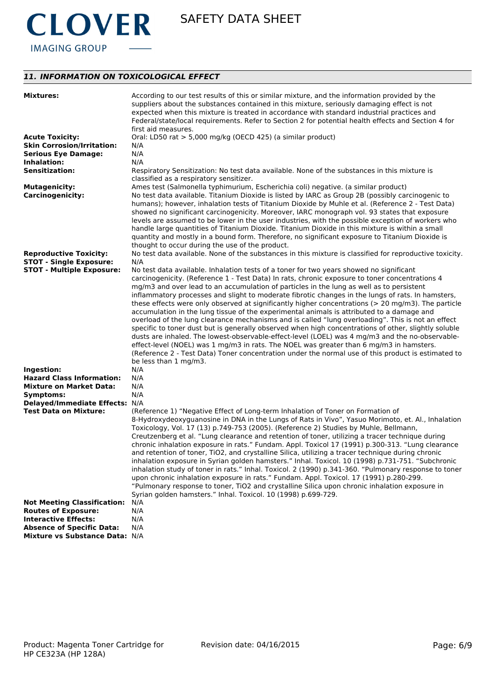

# *11. INFORMATION ON TOXICOLOGICAL EFFECT*

| <b>Mixtures:</b>                   | According to our test results of this or similar mixture, and the information provided by the<br>suppliers about the substances contained in this mixture, seriously damaging effect is not<br>expected when this mixture is treated in accordance with standard industrial practices and<br>Federal/state/local requirements. Refer to Section 2 for potential health effects and Section 4 for<br>first aid measures.                                                                                                                                                                                                                                           |
|------------------------------------|-------------------------------------------------------------------------------------------------------------------------------------------------------------------------------------------------------------------------------------------------------------------------------------------------------------------------------------------------------------------------------------------------------------------------------------------------------------------------------------------------------------------------------------------------------------------------------------------------------------------------------------------------------------------|
| <b>Acute Toxicity:</b>             | Oral: LD50 rat > 5,000 mg/kg (OECD 425) (a similar product)                                                                                                                                                                                                                                                                                                                                                                                                                                                                                                                                                                                                       |
| <b>Skin Corrosion/Irritation:</b>  | N/A                                                                                                                                                                                                                                                                                                                                                                                                                                                                                                                                                                                                                                                               |
| <b>Serious Eye Damage:</b>         | N/A                                                                                                                                                                                                                                                                                                                                                                                                                                                                                                                                                                                                                                                               |
| Inhalation:                        | N/A                                                                                                                                                                                                                                                                                                                                                                                                                                                                                                                                                                                                                                                               |
| <b>Sensitization:</b>              | Respiratory Sensitization: No test data available. None of the substances in this mixture is<br>classified as a respiratory sensitizer.                                                                                                                                                                                                                                                                                                                                                                                                                                                                                                                           |
| <b>Mutagenicity:</b>               | Ames test (Salmonella typhimurium, Escherichia coli) negative. (a similar product)                                                                                                                                                                                                                                                                                                                                                                                                                                                                                                                                                                                |
| <b>Carcinogenicity:</b>            | No test data available. Titanium Dioxide is listed by IARC as Group 2B (possibly carcinogenic to<br>humans); however, inhalation tests of Titanium Dioxide by Muhle et al. (Reference 2 - Test Data)<br>showed no significant carcinogenicity. Moreover, IARC monograph vol. 93 states that exposure<br>levels are assumed to be lower in the user industries, with the possible exception of workers who<br>handle large quantities of Titanium Dioxide. Titanium Dioxide in this mixture is within a small<br>quantity and mostly in a bound form. Therefore, no significant exposure to Titanium Dioxide is<br>thought to occur during the use of the product. |
| <b>Reproductive Toxicity:</b>      | No test data available. None of the substances in this mixture is classified for reproductive toxicity.                                                                                                                                                                                                                                                                                                                                                                                                                                                                                                                                                           |
| <b>STOT - Single Exposure:</b>     | N/A                                                                                                                                                                                                                                                                                                                                                                                                                                                                                                                                                                                                                                                               |
| <b>STOT - Multiple Exposure:</b>   | No test data available. Inhalation tests of a toner for two years showed no significant                                                                                                                                                                                                                                                                                                                                                                                                                                                                                                                                                                           |
|                                    | carcinogenicity. (Reference 1 - Test Data) In rats, chronic exposure to toner concentrations 4                                                                                                                                                                                                                                                                                                                                                                                                                                                                                                                                                                    |
|                                    | mg/m3 and over lead to an accumulation of particles in the lung as well as to persistent                                                                                                                                                                                                                                                                                                                                                                                                                                                                                                                                                                          |
|                                    | inflammatory processes and slight to moderate fibrotic changes in the lungs of rats. In hamsters,                                                                                                                                                                                                                                                                                                                                                                                                                                                                                                                                                                 |
|                                    | these effects were only observed at significantly higher concentrations ( $>$ 20 mg/m3). The particle                                                                                                                                                                                                                                                                                                                                                                                                                                                                                                                                                             |
|                                    | accumulation in the lung tissue of the experimental animals is attributed to a damage and                                                                                                                                                                                                                                                                                                                                                                                                                                                                                                                                                                         |
|                                    | overload of the lung clearance mechanisms and is called "lung overloading". This is not an effect                                                                                                                                                                                                                                                                                                                                                                                                                                                                                                                                                                 |
|                                    | specific to toner dust but is generally observed when high concentrations of other, slightly soluble                                                                                                                                                                                                                                                                                                                                                                                                                                                                                                                                                              |
|                                    | dusts are inhaled. The lowest-observable-effect-level (LOEL) was 4 mg/m3 and the no-observable-<br>effect-level (NOEL) was 1 mg/m3 in rats. The NOEL was greater than 6 mg/m3 in hamsters.                                                                                                                                                                                                                                                                                                                                                                                                                                                                        |
|                                    | (Reference 2 - Test Data) Toner concentration under the normal use of this product is estimated to                                                                                                                                                                                                                                                                                                                                                                                                                                                                                                                                                                |
|                                    | be less than 1 mg/m3.                                                                                                                                                                                                                                                                                                                                                                                                                                                                                                                                                                                                                                             |
| Ingestion:                         | N/A                                                                                                                                                                                                                                                                                                                                                                                                                                                                                                                                                                                                                                                               |
| <b>Hazard Class Information:</b>   | N/A                                                                                                                                                                                                                                                                                                                                                                                                                                                                                                                                                                                                                                                               |
| <b>Mixture on Market Data:</b>     | N/A                                                                                                                                                                                                                                                                                                                                                                                                                                                                                                                                                                                                                                                               |
| Symptoms:                          | N/A                                                                                                                                                                                                                                                                                                                                                                                                                                                                                                                                                                                                                                                               |
| Delayed/Immediate Effects: N/A     |                                                                                                                                                                                                                                                                                                                                                                                                                                                                                                                                                                                                                                                                   |
| <b>Test Data on Mixture:</b>       | (Reference 1) "Negative Effect of Long-term Inhalation of Toner on Formation of                                                                                                                                                                                                                                                                                                                                                                                                                                                                                                                                                                                   |
|                                    | 8-Hydroxydeoxyguanosine in DNA in the Lungs of Rats in Vivo", Yasuo Morimoto, et. Al., Inhalation                                                                                                                                                                                                                                                                                                                                                                                                                                                                                                                                                                 |
|                                    | Toxicology, Vol. 17 (13) p.749-753 (2005). (Reference 2) Studies by Muhle, Bellmann,                                                                                                                                                                                                                                                                                                                                                                                                                                                                                                                                                                              |
|                                    | Creutzenberg et al. "Lung clearance and retention of toner, utilizing a tracer technique during                                                                                                                                                                                                                                                                                                                                                                                                                                                                                                                                                                   |
|                                    | chronic inhalation exposure in rats." Fundam. Appl. Toxicol 17 (1991) p.300-313. "Lung clearance                                                                                                                                                                                                                                                                                                                                                                                                                                                                                                                                                                  |
|                                    | and retention of toner, TiO2, and crystalline Silica, utilizing a tracer technique during chronic                                                                                                                                                                                                                                                                                                                                                                                                                                                                                                                                                                 |
|                                    | inhalation exposure in Syrian golden hamsters." Inhal. Toxicol. 10 (1998) p.731-751. "Subchronic                                                                                                                                                                                                                                                                                                                                                                                                                                                                                                                                                                  |
|                                    | inhalation study of toner in rats." Inhal. Toxicol. 2 (1990) p.341-360. "Pulmonary response to toner                                                                                                                                                                                                                                                                                                                                                                                                                                                                                                                                                              |
|                                    | upon chronic inhalation exposure in rats." Fundam. Appl. Toxicol. 17 (1991) p.280-299.                                                                                                                                                                                                                                                                                                                                                                                                                                                                                                                                                                            |
|                                    | "Pulmonary response to toner, TiO2 and crystalline Silica upon chronic inhalation exposure in                                                                                                                                                                                                                                                                                                                                                                                                                                                                                                                                                                     |
|                                    | Syrian golden hamsters." Inhal. Toxicol. 10 (1998) p.699-729.                                                                                                                                                                                                                                                                                                                                                                                                                                                                                                                                                                                                     |
| <b>Not Meeting Classification:</b> | N/A                                                                                                                                                                                                                                                                                                                                                                                                                                                                                                                                                                                                                                                               |
| <b>Routes of Exposure:</b>         | N/A                                                                                                                                                                                                                                                                                                                                                                                                                                                                                                                                                                                                                                                               |
| <b>Interactive Effects:</b>        | N/A                                                                                                                                                                                                                                                                                                                                                                                                                                                                                                                                                                                                                                                               |
| <b>Absence of Specific Data:</b>   | N/A                                                                                                                                                                                                                                                                                                                                                                                                                                                                                                                                                                                                                                                               |
| Mixture vs Substance Data: N/A     |                                                                                                                                                                                                                                                                                                                                                                                                                                                                                                                                                                                                                                                                   |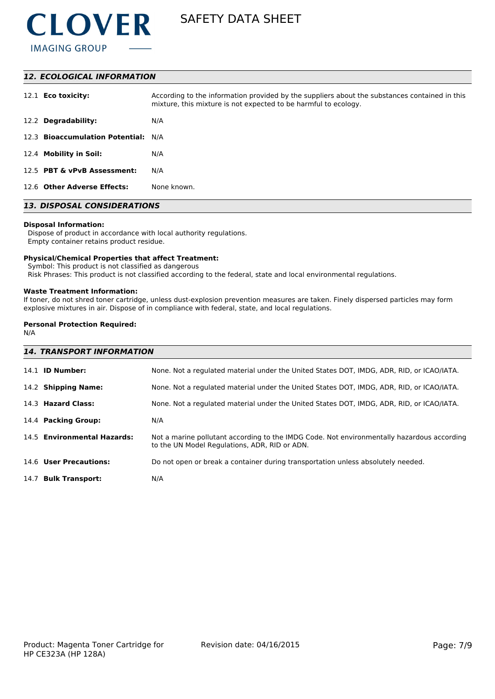

#### *12. ECOLOGICAL INFORMATION*

| 12.1 <b>Eco toxicity:</b>           | According to the information provided by the suppliers about the substances contained in this<br>mixture, this mixture is not expected to be harmful to ecology. |
|-------------------------------------|------------------------------------------------------------------------------------------------------------------------------------------------------------------|
| 12.2 Degradability:                 | N/A                                                                                                                                                              |
| 12.3 Bioaccumulation Potential: N/A |                                                                                                                                                                  |
| 12.4 Mobility in Soil:              | N/A                                                                                                                                                              |
| 12.5 PBT & vPvB Assessment:         | N/A                                                                                                                                                              |
| 12.6 Other Adverse Effects:         | None known.                                                                                                                                                      |

# *13. DISPOSAL CONSIDERATIONS*

#### **Disposal Information:**

 Dispose of product in accordance with local authority regulations. Empty container retains product residue.

#### **Physical/Chemical Properties that affect Treatment:**

Symbol: This product is not classified as dangerous

Risk Phrases: This product is not classified according to the federal, state and local environmental regulations.

#### **Waste Treatment Information:**

If toner, do not shred toner cartridge, unless dust-explosion prevention measures are taken. Finely dispersed particles may form explosive mixtures in air. Dispose of in compliance with federal, state, and local regulations.

### **Personal Protection Required:**

N/A

| <b>14. TRANSPORT INFORMATION</b> |                                                                                                                                             |  |  |
|----------------------------------|---------------------------------------------------------------------------------------------------------------------------------------------|--|--|
| 14.1 <b>ID Number:</b>           | None. Not a regulated material under the United States DOT, IMDG, ADR, RID, or ICAO/IATA.                                                   |  |  |
| 14.2 Shipping Name:              | None. Not a regulated material under the United States DOT, IMDG, ADR, RID, or ICAO/IATA.                                                   |  |  |
| 14.3 Hazard Class:               | None. Not a regulated material under the United States DOT, IMDG, ADR, RID, or ICAO/IATA.                                                   |  |  |
| 14.4 Packing Group:              | N/A                                                                                                                                         |  |  |
| 14.5 Environmental Hazards:      | Not a marine pollutant according to the IMDG Code. Not environmentally hazardous according<br>to the UN Model Regulations, ADR, RID or ADN. |  |  |
| 14.6 User Precautions:           | Do not open or break a container during transportation unless absolutely needed.                                                            |  |  |
| 14.7 Bulk Transport:             | N/A                                                                                                                                         |  |  |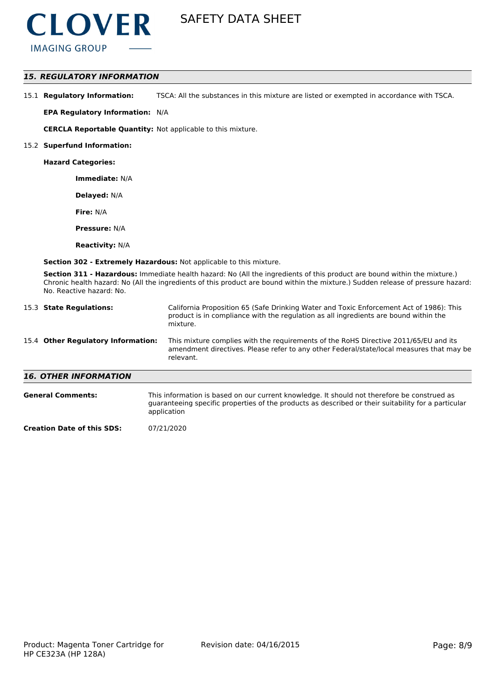

### *15. REGULATORY INFORMATION*

15.1 **Regulatory Information:** TSCA: All the substances in this mixture are listed or exempted in accordance with TSCA.

**EPA Regulatory Information:** N/A

**CERCLA Reportable Quantity:** Not applicable to this mixture.

#### 15.2 **Superfund Information:**

**Hazard Categories:**

**Immediate:** N/A

**Delayed:** N/A

**Fire:** N/A

**Pressure:** N/A

**Reactivity:** N/A

**Section 302 - Extremely Hazardous:** Not applicable to this mixture.

**Section 311 - Hazardous:** Immediate health hazard: No (All the ingredients of this product are bound within the mixture.) Chronic health hazard: No (All the ingredients of this product are bound within the mixture.) Sudden release of pressure hazard: No. Reactive hazard: No.

|                                    | 15.3 State Regulations:      | California Proposition 65 (Safe Drinking Water and Toxic Enforcement Act of 1986): This<br>product is in compliance with the regulation as all ingredients are bound within the<br>mixture.   |  |  |
|------------------------------------|------------------------------|-----------------------------------------------------------------------------------------------------------------------------------------------------------------------------------------------|--|--|
| 15.4 Other Regulatory Information: |                              | This mixture complies with the requirements of the RoHS Directive 2011/65/EU and its<br>amendment directives. Please refer to any other Federal/state/local measures that may be<br>relevant. |  |  |
|                                    | <b>16. OTHER INFORMATION</b> |                                                                                                                                                                                               |  |  |
|                                    | <b>General Comments:</b>     | This information is based on our current knowledge. It should not therefore be construed as                                                                                                   |  |  |

| This information is based on our current knowledge. It should not therefore be construed as         |
|-----------------------------------------------------------------------------------------------------|
| guaranteeing specific properties of the products as described or their suitability for a particular |
| application                                                                                         |
|                                                                                                     |

**Creation Date of this SDS:** 07/21/2020